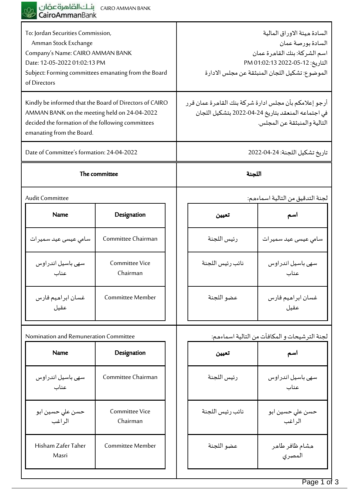

| To: Jordan Securities Commission,<br>Amman Stock Exchange<br>Company's Name: CAIRO AMMAN BANK<br>Date: 12-05-2022 01:02:13 PM<br>Subject: Forming committees emanating from the Board<br>of Directors |                                   |                                                       | السادة ميئة الاوراق المالية<br>السادة بورصة عمان<br>اسم الشركة: بنك القاهرة عمان<br>التاريخ: 12-05-2022 01:02:13 PM<br>الموضوع: تشكيل اللجان المنبثقة عن مجلس الادارة |
|-------------------------------------------------------------------------------------------------------------------------------------------------------------------------------------------------------|-----------------------------------|-------------------------------------------------------|-----------------------------------------------------------------------------------------------------------------------------------------------------------------------|
| Kindly be informed that the Board of Directors of CAIRO<br>AMMAN BANK on the meeting held on 24-04-2022<br>decided the formation of the following committees<br>emanating from the Board.             |                                   | أرجو إعلامكم بأن مجلس ادارة شركة بنك القاهرة عمان قرر | في اجتماعه المنعقد بتاريخ 24-04-2022 بتشكيل اللجان<br>التالية والمنبثقة عن المجلس.                                                                                    |
| Date of Committee's formation: 24-04-2022                                                                                                                                                             |                                   | تاريخ تشكيل اللجنة: 24-04-2022                        |                                                                                                                                                                       |
| The committee                                                                                                                                                                                         |                                   | اللجنة                                                |                                                                                                                                                                       |
| Audit Committee                                                                                                                                                                                       |                                   |                                                       | لجنة التدقيق من التالية اسماءهم:                                                                                                                                      |
| <b>Name</b>                                                                                                                                                                                           | Designation                       | تعيين                                                 | اسم                                                                                                                                                                   |
| سامي عيسى عيد سميرات                                                                                                                                                                                  | Committee Chairman                | رئيس اللجنة                                           | سامي عيسى عيد سميرات                                                                                                                                                  |
| سهى باسيل اندراوس<br>عناب                                                                                                                                                                             | Committee Vice<br>Chairman        | نائب رئيس اللجنة                                      | سهى باسيل اندراوس<br>عناب                                                                                                                                             |
| غسان ابراهيم فارس<br>عقيل                                                                                                                                                                             | <b>Committee Member</b>           | عضو اللجنة                                            | غسان ابراهيم فارس<br>عقيل                                                                                                                                             |
| Nomination and Remuneration Committee                                                                                                                                                                 |                                   |                                                       | لجنة الترشيحات و المكافآت من التالية اسماءهم:                                                                                                                         |
| <b>Name</b>                                                                                                                                                                                           | Designation                       | تعيين                                                 | اسم                                                                                                                                                                   |
| سهى باسيل اندراوس<br>عناب                                                                                                                                                                             | Committee Chairman                | رئيس اللجنة                                           | سهى باسيل اندراوس<br>عناب                                                                                                                                             |
| حسن على حسين ابو<br>الر اغب                                                                                                                                                                           | <b>Committee Vice</b><br>Chairman | نائب رئيس اللجنة                                      | حسن على حسين ابو<br>الر اغب                                                                                                                                           |
| Hisham Zafer Taher<br>Masri                                                                                                                                                                           | Committee Member                  | عضو اللجنة                                            | هشام ظافر طاهر<br>المصري                                                                                                                                              |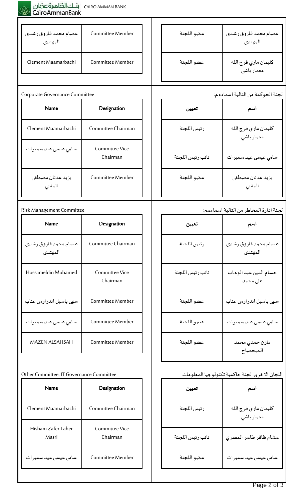## بنـك الصاهرة عمّان<br>C<mark>airoAmman</mark>Bank

| عصام محمد فاروق رشدى<br>المهتدى | Committee Member                  | عضو اللجنة       | عصام محمد فاروق رشدى<br>المهتدى        |
|---------------------------------|-----------------------------------|------------------|----------------------------------------|
| Clement Maamarbachi             | Committee Member                  | عضو اللجنة       | كليمان ماري فرج الله<br>معمار باشي     |
|                                 |                                   |                  |                                        |
| Corporate Governance Committee  |                                   |                  | لجنة الحوكمة من التالية اسماءهم:       |
| <b>Name</b>                     | Designation                       | تعيين            | اسم                                    |
| Clement Maamarbachi             | Committee Chairman                | رئيس اللجنة      | كليمان ماري فرج الله<br>معمار باشي     |
| سامي عيسى عيد سميرات            | <b>Committee Vice</b><br>Chairman | نائب رئيس اللجنة | سامي عيسى عيد سميرات                   |
| يزيد عدنان مصطفى<br>المفتي      | Committee Member                  | عضو اللجنة       | يزيد عدنان مصطفى<br>المفتي             |
|                                 |                                   |                  |                                        |
| Risk Management Committee       |                                   |                  | لجنة ادارة المخاطر من التالية اسماءهم: |
| <b>Name</b>                     | Designation                       | تعيين            | اسم                                    |
| عصام محمد فاروق رشدى<br>المهتدى | Committee Chairman                | رئيس اللجنة      | عصام محمد فاروق رشدى<br>المهتدى        |
| Hossameldin Mohamed             | <b>Committee Vice</b><br>Chairman | نائب رئيس اللجنة | حسام الدين عبد الوهاب<br>على محمد      |

| Hossameldin Mohamed    | Committee Vice<br>Chairman |  |
|------------------------|----------------------------|--|
| سهى باسيل اندراوس عناب | Committee Member           |  |
| می عیسی عید سمیرات     | Committee Member           |  |

| Other Committee: IT Governance Committee |
|------------------------------------------|

| Designation                       |
|-----------------------------------|
| Committee Chairman                |
| <b>Committee Vice</b><br>Chairman |
| Committee Member                  |
|                                   |

MAZEN ALSAHSAH | Committee Member

| عضو اللجنة  | مازن حمدی محمد<br>الصحصاح                      |
|-------------|------------------------------------------------|
|             | اللجان الاخرى: لجنة حاكمية تكنولوجيا المعلومات |
| تعيين       | اسم                                            |
| رئيس اللجنة | كليمان ماري فرج الله<br>معمار باشي             |

سهى باسيل اندراوس عناب  $\vert\hspace{1.5cm}\vert$  عضو اللجنة

سامي عيسى عيد سميرات عضو اللجنة

هشام ظافر طاهر المصري  $\hspace{0.1cm} \Big\vert \hspace{0.1cm}$ نائب رئيس اللجنة سامي عيسى عيد سميرات عضو اللجنة